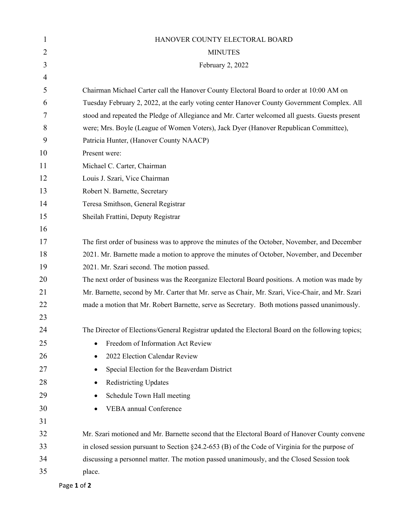| HANOVER COUNTY ELECTORAL BOARD                                                                     |
|----------------------------------------------------------------------------------------------------|
| <b>MINUTES</b>                                                                                     |
| February 2, 2022                                                                                   |
|                                                                                                    |
| Chairman Michael Carter call the Hanover County Electoral Board to order at 10:00 AM on            |
| Tuesday February 2, 2022, at the early voting center Hanover County Government Complex. All        |
| stood and repeated the Pledge of Allegiance and Mr. Carter welcomed all guests. Guests present     |
| were; Mrs. Boyle (League of Women Voters), Jack Dyer (Hanover Republican Committee),               |
| Patricia Hunter, (Hanover County NAACP)                                                            |
| Present were:                                                                                      |
| Michael C. Carter, Chairman                                                                        |
| Louis J. Szari, Vice Chairman                                                                      |
| Robert N. Barnette, Secretary                                                                      |
| Teresa Smithson, General Registrar                                                                 |
| Sheilah Frattini, Deputy Registrar                                                                 |
|                                                                                                    |
| The first order of business was to approve the minutes of the October, November, and December      |
| 2021. Mr. Barnette made a motion to approve the minutes of October, November, and December         |
| 2021. Mr. Szari second. The motion passed.                                                         |
| The next order of business was the Reorganize Electoral Board positions. A motion was made by      |
| Mr. Barnette, second by Mr. Carter that Mr. serve as Chair, Mr. Szari, Vice-Chair, and Mr. Szari   |
| made a motion that Mr. Robert Barnette, serve as Secretary. Both motions passed unanimously.       |
|                                                                                                    |
| The Director of Elections/General Registrar updated the Electoral Board on the following topics;   |
| Freedom of Information Act Review                                                                  |
| 2022 Election Calendar Review<br>$\bullet$                                                         |
| Special Election for the Beaverdam District<br>٠                                                   |
| <b>Redistricting Updates</b>                                                                       |
| Schedule Town Hall meeting<br>٠                                                                    |
| <b>VEBA</b> annual Conference                                                                      |
|                                                                                                    |
| Mr. Szari motioned and Mr. Barnette second that the Electoral Board of Hanover County convene      |
| in closed session pursuant to Section $\S$ 24.2-653 (B) of the Code of Virginia for the purpose of |
| discussing a personnel matter. The motion passed unanimously, and the Closed Session took          |
| place.                                                                                             |
|                                                                                                    |